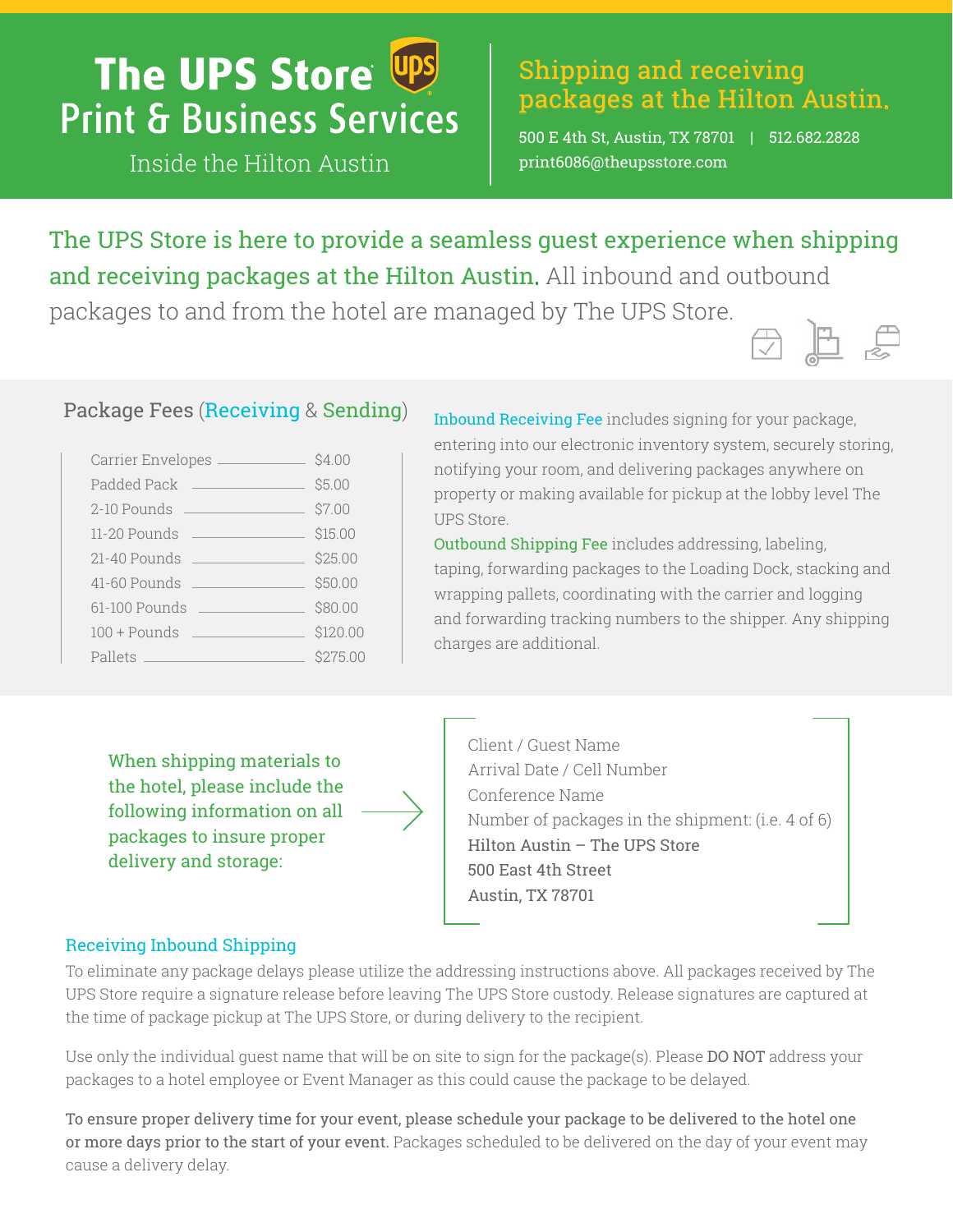# The UPS Store Ups **Print & Business Services**

Inside the Hilton Austin

# Shipping and receiving packages at the Hilton Austin.

500 E 4th St, Austin, TX 78701 | 512.682.2828 [print6086@theupsstore.com](mailto:print6086@theupsstore.com) 

The UPS Store is here to provide a seamless guest experience when shipping and receiving packages at the Hilton Austin. All inbound and outbound packages to and from the hotel are managed by The UPS Store.



# Package Fees (Receiving & Sending)

| Carrier Envelopes                                                 | \$4.00   |
|-------------------------------------------------------------------|----------|
| Padded Pack                                                       | \$5.00   |
| 2-10 Pounds<br><u> 1990 - John Stein, Amerikaansk politiker (</u> | \$7.00   |
| 11-20 Pounds<br><u> 1990 - Jan Albert Barbara, man</u>            | \$15.00  |
| 21-40 Pounds<br><u> 1990 - Johann Barnett, fransk politik (</u>   | \$25.00  |
| 41-60 Pounds                                                      | \$50.00  |
| 61-100 Pounds                                                     | \$80.00  |
| $100 +$ Pounds<br>and the control of the control of the           | \$120.00 |
| Pallets                                                           | \$275.00 |

Inbound Receiving Fee includes signing for your package, entering into our electronic inventory system, securely storing, notifying your room, and delivering packages anywhere on property or making available for pickup at the lobby level The UPS Store.

Outbound Shipping Fee includes addressing, labeling, taping, forwarding packages to the Loading Dock, stacking and wrapping pallets, coordinating with the carrier and logging and forwarding tracking numbers to the shipper. Any shipping charges are additional.

When shipping materials to the hotel, please include the following information on all packages to insure proper delivery and storage:



Client / Guest Name Arrival Date / Cell Number Conference Name Number of packages in the shipment: (i.e. 4 of 6) Hilton Austin – The UPS Store 500 East 4th Street Austin, TX 78701

## Receiving Inbound Shipping

To eliminate any package delays please utilize the addressing instructions above. All packages received by The UPS Store require a signature release before leaving The UPS Store custody. Release signatures are captured at the time of package pickup at The UPS Store, or during delivery to the recipient.

Use only the individual guest name that will be on site to sign for the package(s). Please DO NOT address your packages to a hotel employee or Event Manager as this could cause the package to be delayed.

To ensure proper delivery time for your event, please schedule your package to be delivered to the hotel one or more days prior to the start of your event. Packages scheduled to be delivered on the day of your event may cause a delivery delay.